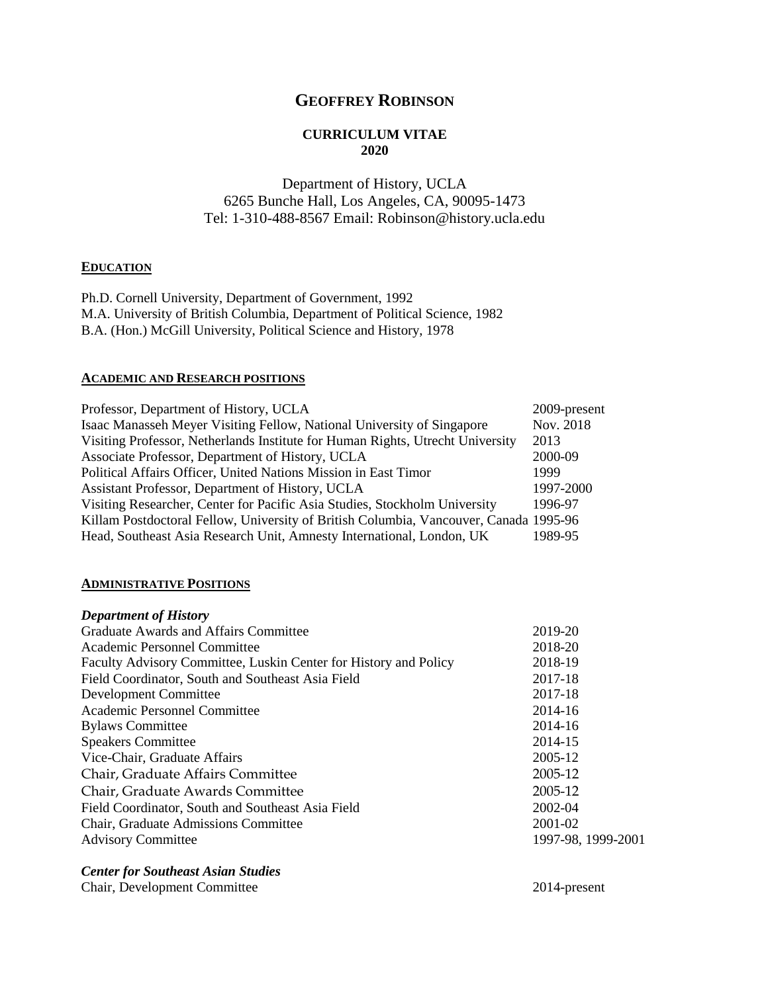# **GEOFFREY ROBINSON**

## **CURRICULUM VITAE 2020**

# Department of History, UCLA 6265 Bunche Hall, Los Angeles, CA, 90095-1473 Tel: 1-310-488-8567 Email: Robinson@history.ucla.edu

### **EDUCATION**

Ph.D. Cornell University, Department of Government, 1992 M.A. University of British Columbia, Department of Political Science, 1982 B.A. (Hon.) McGill University, Political Science and History, 1978

### **ACADEMIC AND RESEARCH POSITIONS**

| Professor, Department of History, UCLA                                                | 2009-present |
|---------------------------------------------------------------------------------------|--------------|
| Isaac Manasseh Meyer Visiting Fellow, National University of Singapore                | Nov. 2018    |
| Visiting Professor, Netherlands Institute for Human Rights, Utrecht University        | 2013         |
| Associate Professor, Department of History, UCLA                                      | 2000-09      |
| Political Affairs Officer, United Nations Mission in East Timor                       | 1999         |
| Assistant Professor, Department of History, UCLA                                      | 1997-2000    |
| Visiting Researcher, Center for Pacific Asia Studies, Stockholm University            | 1996-97      |
| Killam Postdoctoral Fellow, University of British Columbia, Vancouver, Canada 1995-96 |              |
| Head, Southeast Asia Research Unit, Amnesty International, London, UK                 | 1989-95      |

### **ADMINISTRATIVE POSITIONS**

## *Department of History*

| Graduate Awards and Affairs Committee                            | 2019-20            |
|------------------------------------------------------------------|--------------------|
| Academic Personnel Committee                                     | 2018-20            |
| Faculty Advisory Committee, Luskin Center for History and Policy | 2018-19            |
| Field Coordinator, South and Southeast Asia Field                | 2017-18            |
| Development Committee                                            | 2017-18            |
| Academic Personnel Committee                                     | 2014-16            |
| <b>Bylaws Committee</b>                                          | 2014-16            |
| <b>Speakers Committee</b>                                        | 2014-15            |
| Vice-Chair, Graduate Affairs                                     | 2005-12            |
| Chair, Graduate Affairs Committee                                | 2005-12            |
| Chair, Graduate Awards Committee                                 | 2005-12            |
| Field Coordinator, South and Southeast Asia Field                | 2002-04            |
| Chair, Graduate Admissions Committee                             | 2001-02            |
| <b>Advisory Committee</b>                                        | 1997-98, 1999-2001 |
|                                                                  |                    |

## *Center for Southeast Asian Studies*

Chair, Development Committee 2014-present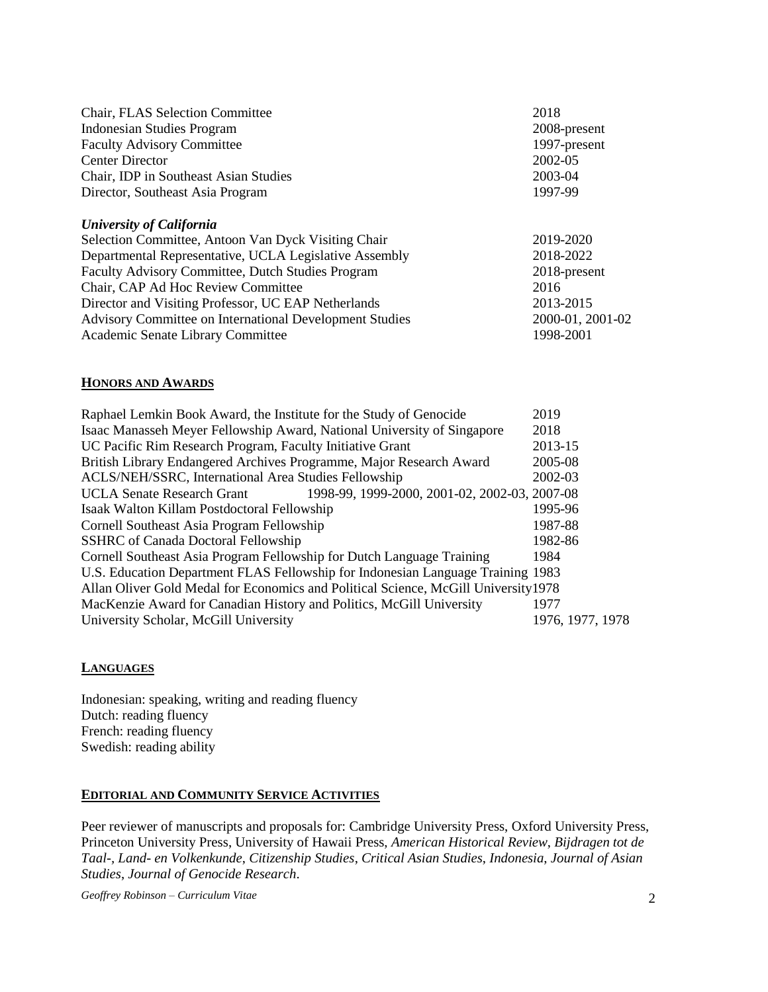| Chair, FLAS Selection Committee<br><b>Indonesian Studies Program</b><br><b>Faculty Advisory Committee</b><br><b>Center Director</b><br>Chair, IDP in Southeast Asian Studies | 2018<br>2008-present<br>1997-present<br>2002-05<br>2003-04 |
|------------------------------------------------------------------------------------------------------------------------------------------------------------------------------|------------------------------------------------------------|
| Director, Southeast Asia Program                                                                                                                                             | 1997-99                                                    |
| University of California                                                                                                                                                     |                                                            |
| Selection Committee, Antoon Van Dyck Visiting Chair                                                                                                                          | 2019-2020                                                  |
| Departmental Representative, UCLA Legislative Assembly                                                                                                                       | 2018-2022                                                  |
| Faculty Advisory Committee, Dutch Studies Program                                                                                                                            | 2018-present                                               |
| Chair, CAP Ad Hoc Review Committee                                                                                                                                           | 2016                                                       |
| Director and Visiting Professor, UC EAP Netherlands                                                                                                                          | 2013-2015                                                  |
| Advisory Committee on International Development Studies                                                                                                                      | 2000-01, 2001-02                                           |
| Academic Senate Library Committee                                                                                                                                            | 1998-2001                                                  |

## **HONORS AND AWARDS**

| Raphael Lemkin Book Award, the Institute for the Study of Genocide                  | 2019             |
|-------------------------------------------------------------------------------------|------------------|
| Isaac Manasseh Meyer Fellowship Award, National University of Singapore             | 2018             |
| UC Pacific Rim Research Program, Faculty Initiative Grant                           | 2013-15          |
| British Library Endangered Archives Programme, Major Research Award                 | 2005-08          |
| ACLS/NEH/SSRC, International Area Studies Fellowship                                | 2002-03          |
| 1998-99, 1999-2000, 2001-02, 2002-03, 2007-08<br><b>UCLA Senate Research Grant</b>  |                  |
| Isaak Walton Killam Postdoctoral Fellowship                                         | 1995-96          |
| Cornell Southeast Asia Program Fellowship                                           | 1987-88          |
| <b>SSHRC</b> of Canada Doctoral Fellowship                                          | 1982-86          |
| Cornell Southeast Asia Program Fellowship for Dutch Language Training               | 1984             |
| U.S. Education Department FLAS Fellowship for Indonesian Language Training 1983     |                  |
| Allan Oliver Gold Medal for Economics and Political Science, McGill University 1978 |                  |
| MacKenzie Award for Canadian History and Politics, McGill University                | 1977             |
| University Scholar, McGill University                                               | 1976, 1977, 1978 |

## **LANGUAGES**

Indonesian: speaking, writing and reading fluency Dutch: reading fluency French: reading fluency Swedish: reading ability

## **EDITORIAL AND COMMUNITY SERVICE ACTIVITIES**

Peer reviewer of manuscripts and proposals for: Cambridge University Press, Oxford University Press, Princeton University Press, University of Hawaii Press, *American Historical Review*, *Bijdragen tot de Taal-, Land- en Volkenkunde*, *Citizenship Studies*, *Critical Asian Studies*, *Indonesia*, *Journal of Asian Studies*, *Journal of Genocide Research*.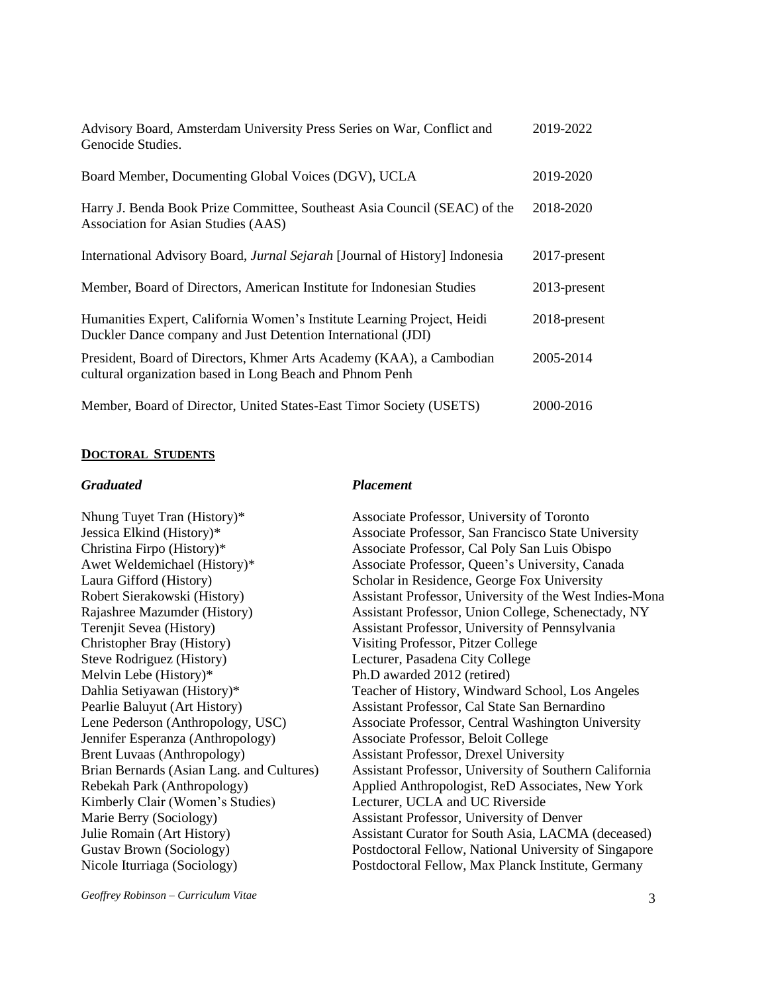| Advisory Board, Amsterdam University Press Series on War, Conflict and<br>Genocide Studies.                                             | 2019-2022       |
|-----------------------------------------------------------------------------------------------------------------------------------------|-----------------|
| Board Member, Documenting Global Voices (DGV), UCLA                                                                                     | 2019-2020       |
| Harry J. Benda Book Prize Committee, Southeast Asia Council (SEAC) of the<br>Association for Asian Studies (AAS)                        | 2018-2020       |
| International Advisory Board, Jurnal Sejarah [Journal of History] Indonesia                                                             | 2017-present    |
| Member, Board of Directors, American Institute for Indonesian Studies                                                                   | $2013$ -present |
| Humanities Expert, California Women's Institute Learning Project, Heidi<br>Duckler Dance company and Just Detention International (JDI) | 2018-present    |
| President, Board of Directors, Khmer Arts Academy (KAA), a Cambodian<br>cultural organization based in Long Beach and Phnom Penh        | 2005-2014       |
| Member, Board of Director, United States-East Timor Society (USETS)                                                                     | 2000-2016       |

### **DOCTORAL STUDENTS**

### *Graduated Placement*

Christopher Bray (History) Visiting Professor, Pitzer College Steve Rodriguez (History) Lecturer, Pasadena City College Melvin Lebe (History)\* Ph.D awarded 2012 (retired) Jennifer Esperanza (Anthropology) Associate Professor, Beloit College Brent Luvaas (Anthropology) Assistant Professor, Drexel University Kimberly Clair (Women's Studies) Lecturer, UCLA and UC Riverside

Nhung Tuyet Tran (History)\* Associate Professor, University of Toronto Jessica Elkind (History)\* Associate Professor, San Francisco State University Christina Firpo (History)\* Associate Professor, Cal Poly San Luis Obispo Awet Weldemichael (History)\* Associate Professor, Queen's University, Canada Laura Gifford (History) Scholar in Residence, George Fox University Robert Sierakowski (History) Assistant Professor, University of the West Indies-Mona Rajashree Mazumder (History) Assistant Professor, Union College, Schenectady, NY Terenjit Sevea (History) Assistant Professor, University of Pennsylvania Dahlia Setiyawan (History)\* Teacher of History, Windward School, Los Angeles Pearlie Baluyut (Art History) Assistant Professor, Cal State San Bernardino Lene Pederson (Anthropology, USC) Associate Professor, Central Washington University Brian Bernards (Asian Lang. and Cultures) Assistant Professor, University of Southern California Rebekah Park (Anthropology) Applied Anthropologist, ReD Associates, New York Marie Berry (Sociology) Assistant Professor, University of Denver Julie Romain (Art History) Assistant Curator for South Asia, LACMA (deceased) Gustav Brown (Sociology) Postdoctoral Fellow, National University of Singapore Nicole Iturriaga (Sociology) Postdoctoral Fellow, Max Planck Institute, Germany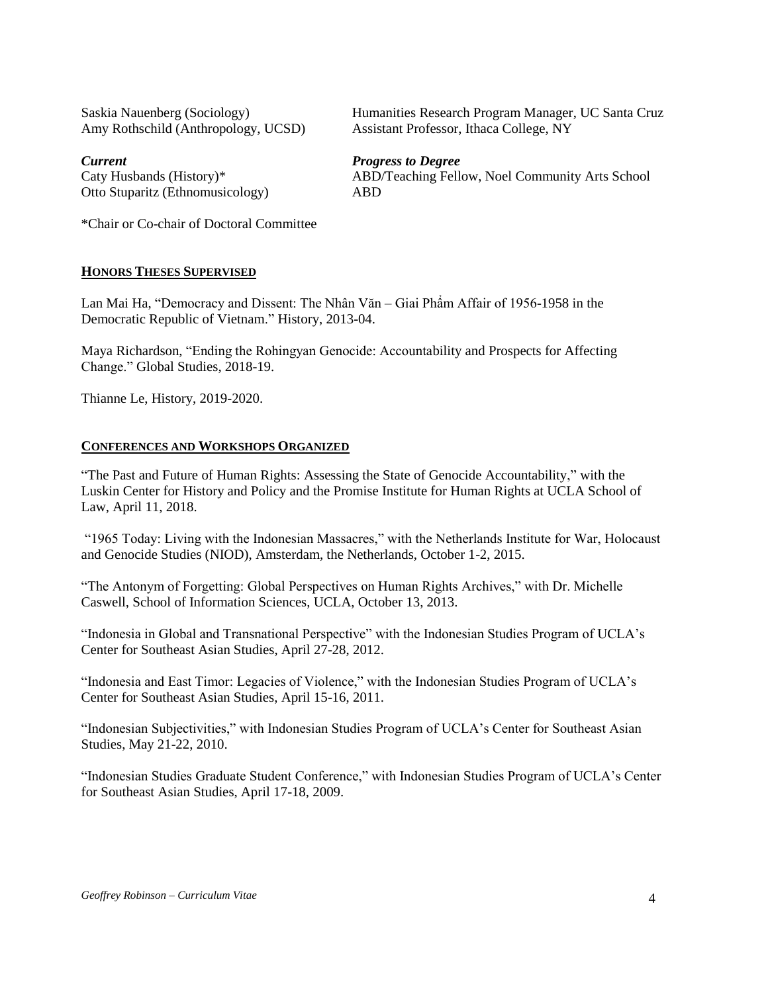Amy Rothschild (Anthropology, UCSD) Assistant Professor, Ithaca College, NY

Otto Stuparitz (Ethnomusicology) ABD

Saskia Nauenberg (Sociology) Humanities Research Program Manager, UC Santa Cruz

### *Current Progress to Degree*

Caty Husbands (History)\* ABD/Teaching Fellow, Noel Community Arts School

\*Chair or Co-chair of Doctoral Committee

## **HONORS THESES SUPERVISED**

Lan Mai Ha, "Democracy and Dissent: The Nhân Văn – Giai Phẩm Affair of 1956-1958 in the Democratic Republic of Vietnam." History, 2013-04.

Maya Richardson, "Ending the Rohingyan Genocide: Accountability and Prospects for Affecting Change." Global Studies, 2018-19.

Thianne Le, History, 2019-2020.

### **CONFERENCES AND WORKSHOPS ORGANIZED**

"The Past and Future of Human Rights: Assessing the State of Genocide Accountability," with the [Luskin Center for History and Policy](https://exchange2010.ss.ucla.edu/owa/redir.aspx?C=x9IqBeOKZnWXVbXtI6_H7MOJZBKD4xCWjPMi7qywyoQ-avN4al_VCA..&URL=http%3a%2f%2fluskincenter.history.ucla.edu%2f) and [the Promise Institute for Human Rights at UCLA School of](https://exchange2010.ss.ucla.edu/owa/redir.aspx?C=aX4hYHQj6jywvxDeg5qq8lfXsr3x9Jvz-XvAv0ECbtk-avN4al_VCA..&URL=https%3a%2f%2flaw.ucla.edu%2fcenters%2finternational-law-and-human-rights%2fpromise-institute-for-human-rights%2foverview%2f)  [Law,](https://exchange2010.ss.ucla.edu/owa/redir.aspx?C=aX4hYHQj6jywvxDeg5qq8lfXsr3x9Jvz-XvAv0ECbtk-avN4al_VCA..&URL=https%3a%2f%2flaw.ucla.edu%2fcenters%2finternational-law-and-human-rights%2fpromise-institute-for-human-rights%2foverview%2f) April 11, 2018.

"1965 Today: Living with the Indonesian Massacres," with the Netherlands Institute for War, Holocaust and Genocide Studies (NIOD), Amsterdam, the Netherlands, October 1-2, 2015.

"The Antonym of Forgetting: Global Perspectives on Human Rights Archives," with Dr. Michelle Caswell, School of Information Sciences, UCLA, October 13, 2013.

"Indonesia in Global and Transnational Perspective" with the Indonesian Studies Program of UCLA's Center for Southeast Asian Studies, April 27-28, 2012.

"Indonesia and East Timor: Legacies of Violence," with the Indonesian Studies Program of UCLA's Center for Southeast Asian Studies, April 15-16, 2011.

"Indonesian Subjectivities," with Indonesian Studies Program of UCLA's Center for Southeast Asian Studies, May 21-22, 2010.

"Indonesian Studies Graduate Student Conference," with Indonesian Studies Program of UCLA's Center for Southeast Asian Studies, April 17-18, 2009.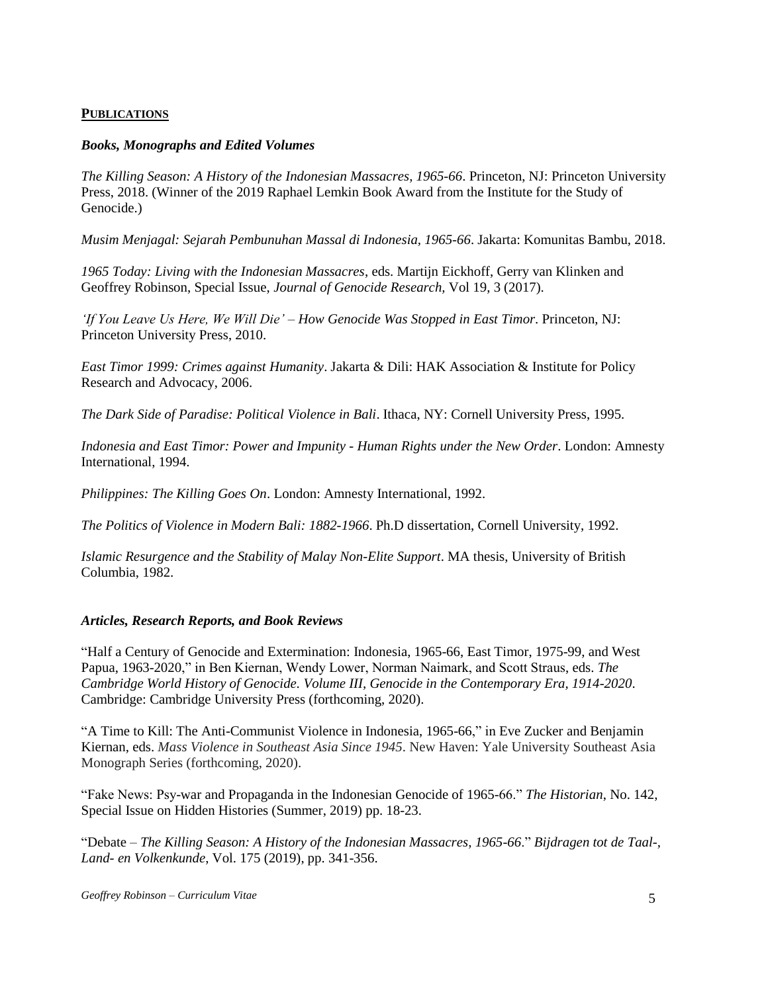## **PUBLICATIONS**

## *Books, Monographs and Edited Volumes*

*The Killing Season: A History of the Indonesian Massacres, 1965-66*. Princeton, NJ: Princeton University Press, 2018. (Winner of the 2019 Raphael Lemkin Book Award from the Institute for the Study of Genocide.)

*Musim Menjagal: Sejarah Pembunuhan Massal di Indonesia, 1965-66*. Jakarta: Komunitas Bambu, 2018.

*1965 Today: Living with the Indonesian Massacres*, eds. Martijn Eickhoff, Gerry van Klinken and Geoffrey Robinson, Special Issue, *Journal of Genocide Research,* Vol 19, 3 (2017).

*'If You Leave Us Here, We Will Die' – How Genocide Was Stopped in East Timor*. Princeton, NJ: Princeton University Press, 2010.

*East Timor 1999: Crimes against Humanity*. Jakarta & Dili: HAK Association & Institute for Policy Research and Advocacy, 2006.

*The Dark Side of Paradise: Political Violence in Bali*. Ithaca, NY: Cornell University Press, 1995.

*Indonesia and East Timor: Power and Impunity - Human Rights under the New Order*. London: Amnesty International, 1994.

*Philippines: The Killing Goes On*. London: Amnesty International, 1992.

*The Politics of Violence in Modern Bali: 1882-1966*. Ph.D dissertation, Cornell University, 1992.

*Islamic Resurgence and the Stability of Malay Non-Elite Support*. MA thesis, University of British Columbia, 1982.

## *Articles, Research Reports, and Book Reviews*

"Half a Century of Genocide and Extermination: Indonesia, 1965-66, East Timor, 1975-99, and West Papua, 1963-2020," in Ben Kiernan, Wendy Lower, Norman Naimark, and Scott Straus, eds. *The Cambridge World History of Genocide. Volume III, Genocide in the Contemporary Era, 1914-2020*. Cambridge: Cambridge University Press (forthcoming, 2020).

"A Time to Kill: The Anti-Communist Violence in Indonesia, 1965-66," in Eve Zucker and Benjamin Kiernan, eds. *Mass Violence in Southeast Asia Since 1945*. New Haven: Yale University Southeast Asia Monograph Series (forthcoming, 2020).

"Fake News: Psy-war and Propaganda in the Indonesian Genocide of 1965-66." *The Historian*, No. 142, Special Issue on Hidden Histories (Summer, 2019) pp. 18-23.

"Debate – *The Killing Season: A History of the Indonesian Massacres, 1965-66*." *Bijdragen tot de Taal-, Land- en Volkenkunde*, Vol. 175 (2019), pp. 341-356.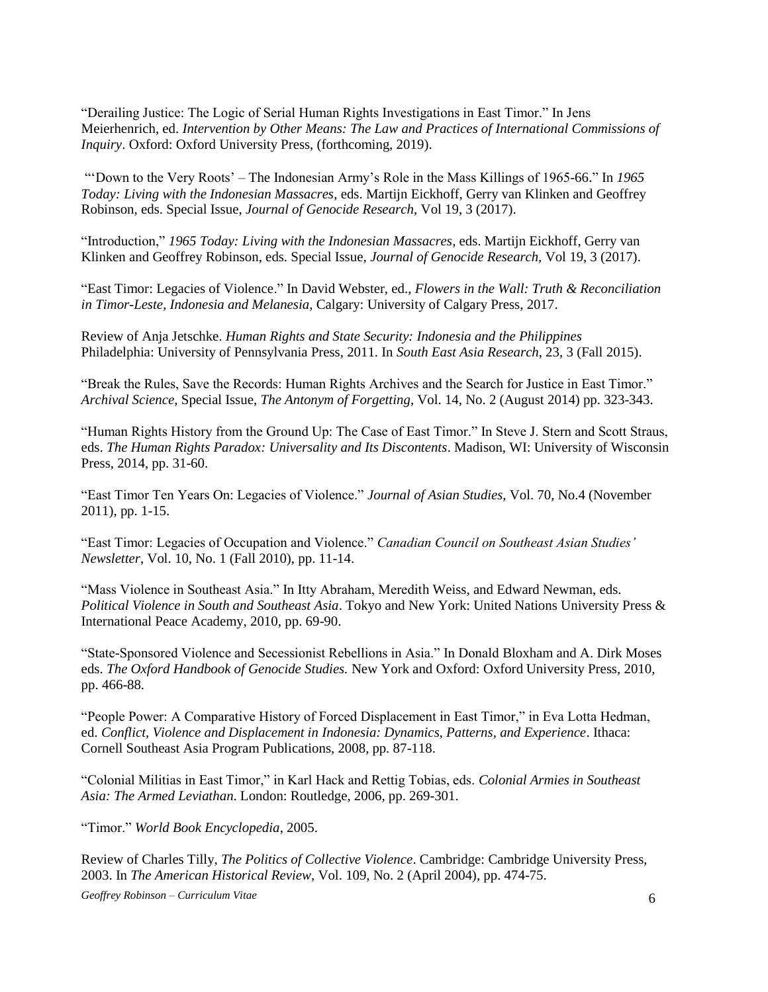"Derailing Justice: The Logic of Serial Human Rights Investigations in East Timor." In Jens Meierhenrich, ed. *Intervention by Other Means: The Law and Practices of International Commissions of Inquiry*. Oxford: Oxford University Press, (forthcoming, 2019).

"'Down to the Very Roots' – The Indonesian Army's Role in the Mass Killings of 1965-66." In *1965 Today: Living with the Indonesian Massacres*, eds. Martijn Eickhoff, Gerry van Klinken and Geoffrey Robinson, eds. Special Issue, *Journal of Genocide Research,* Vol 19, 3 (2017).

"Introduction," *1965 Today: Living with the Indonesian Massacres*, eds. Martijn Eickhoff, Gerry van Klinken and Geoffrey Robinson, eds. Special Issue, *Journal of Genocide Research,* Vol 19, 3 (2017).

"East Timor: Legacies of Violence." In David Webster, ed., *Flowers in the Wall: Truth & Reconciliation in Timor-Leste, Indonesia and Melanesia*, Calgary: University of Calgary Press, 2017.

Review of Anja Jetschke. *Human Rights and State Security: Indonesia and the Philippines* Philadelphia: University of Pennsylvania Press, 2011. In *South East Asia Research*, 23, 3 (Fall 2015).

"Break the Rules, Save the Records: Human Rights Archives and the Search for Justice in East Timor." *Archival Science*, Special Issue, *The Antonym of Forgetting*, Vol. 14, No. 2 (August 2014) pp. 323-343.

"Human Rights History from the Ground Up: The Case of East Timor." In Steve J. Stern and Scott Straus, eds. *The Human Rights Paradox: Universality and Its Discontents*. Madison, WI: University of Wisconsin Press, 2014, pp. 31-60.

"East Timor Ten Years On: Legacies of Violence." *Journal of Asian Studies*, Vol. 70, No.4 (November 2011), pp. 1-15.

"East Timor: Legacies of Occupation and Violence." *Canadian Council on Southeast Asian Studies' Newsletter*, Vol. 10, No. 1 (Fall 2010), pp. 11-14.

"Mass Violence in Southeast Asia." In Itty Abraham, Meredith Weiss, and Edward Newman, eds. *Political Violence in South and Southeast Asia*. Tokyo and New York: United Nations University Press & International Peace Academy, 2010, pp. 69-90.

"State-Sponsored Violence and Secessionist Rebellions in Asia." In Donald Bloxham and A. Dirk Moses eds. *The Oxford Handbook of Genocide Studies.* New York and Oxford: Oxford University Press, 2010, pp. 466-88.

"People Power: A Comparative History of Forced Displacement in East Timor," in Eva Lotta Hedman, ed. *Conflict, Violence and Displacement in Indonesia: Dynamics, Patterns, and Experience*. Ithaca: Cornell Southeast Asia Program Publications, 2008, pp. 87-118.

"Colonial Militias in East Timor," in Karl Hack and Rettig Tobias, eds. *Colonial Armies in Southeast Asia: The Armed Leviathan*. London: Routledge, 2006, pp. 269-301.

"Timor." *World Book Encyclopedia*, 2005.

Review of Charles Tilly, *The Politics of Collective Violence*. Cambridge: Cambridge University Press, 2003. In *The American Historical Review*, Vol. 109, No. 2 (April 2004), pp. 474-75.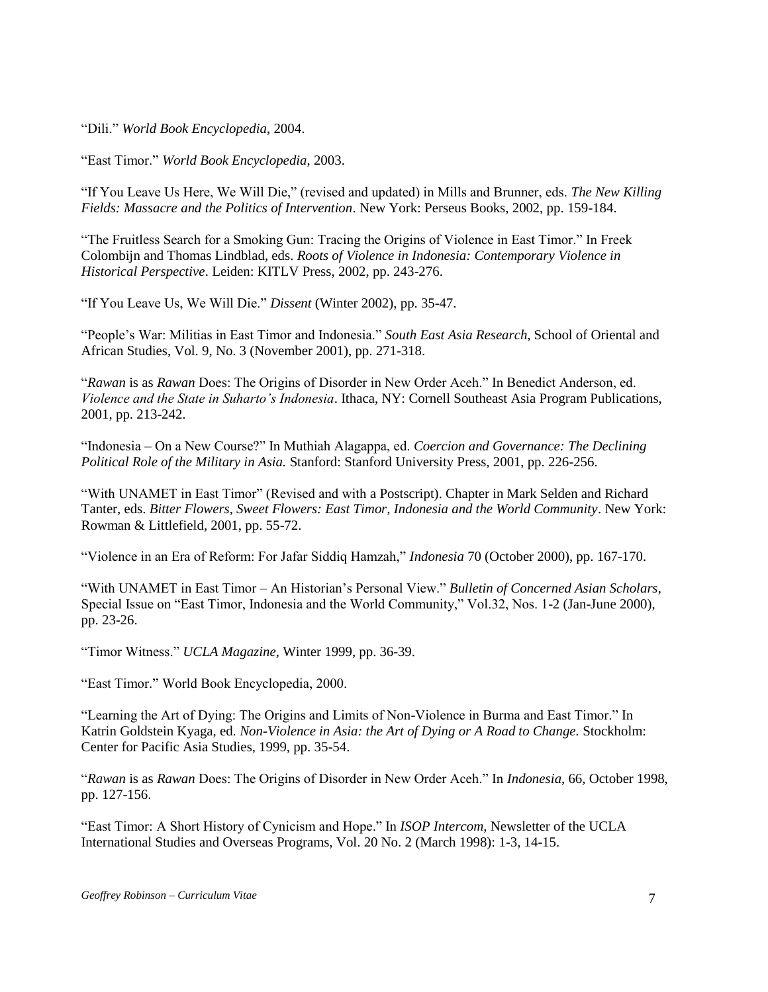"Dili." *World Book Encyclopedia*, 2004.

"East Timor." *World Book Encyclopedia*, 2003.

"If You Leave Us Here, We Will Die," (revised and updated) in Mills and Brunner, eds. *The New Killing Fields: Massacre and the Politics of Intervention*. New York: Perseus Books, 2002, pp. 159-184.

"The Fruitless Search for a Smoking Gun: Tracing the Origins of Violence in East Timor." In Freek Colombijn and Thomas Lindblad, eds. *Roots of Violence in Indonesia: Contemporary Violence in Historical Perspective*. Leiden: KITLV Press, 2002, pp. 243-276.

"If You Leave Us, We Will Die." *Dissent* (Winter 2002), pp. 35-47.

"People's War: Militias in East Timor and Indonesia." *South East Asia Research*, School of Oriental and African Studies, Vol. 9, No. 3 (November 2001), pp. 271-318.

"*Rawan* is as *Rawan* Does: The Origins of Disorder in New Order Aceh." In Benedict Anderson, ed. *Violence and the State in Suharto's Indonesia*. Ithaca, NY: Cornell Southeast Asia Program Publications, 2001, pp. 213-242.

"Indonesia – On a New Course?" In Muthiah Alagappa, ed. *Coercion and Governance: The Declining Political Role of the Military in Asia.* Stanford: Stanford University Press, 2001, pp. 226-256.

"With UNAMET in East Timor" (Revised and with a Postscript). Chapter in Mark Selden and Richard Tanter, eds. *Bitter Flowers, Sweet Flowers: East Timor, Indonesia and the World Community*. New York: Rowman & Littlefield, 2001, pp. 55-72.

"Violence in an Era of Reform: For Jafar Siddiq Hamzah," *Indonesia* 70 (October 2000), pp. 167-170.

"With UNAMET in East Timor – An Historian's Personal View." *Bulletin of Concerned Asian Scholars*, Special Issue on "East Timor, Indonesia and the World Community," Vol.32, Nos. 1-2 (Jan-June 2000), pp. 23-26.

"Timor Witness." *UCLA Magazine*, Winter 1999, pp. 36-39.

"East Timor." World Book Encyclopedia, 2000.

"Learning the Art of Dying: The Origins and Limits of Non-Violence in Burma and East Timor." In Katrin Goldstein Kyaga, ed. *Non-Violence in Asia: the Art of Dying or A Road to Change.* Stockholm: Center for Pacific Asia Studies, 1999, pp. 35-54.

"*Rawan* is as *Rawan* Does: The Origins of Disorder in New Order Aceh." In *Indonesia*, 66, October 1998, pp. 127-156.

"East Timor: A Short History of Cynicism and Hope." In *ISOP Intercom*, Newsletter of the UCLA International Studies and Overseas Programs, Vol. 20 No. 2 (March 1998): 1-3, 14-15.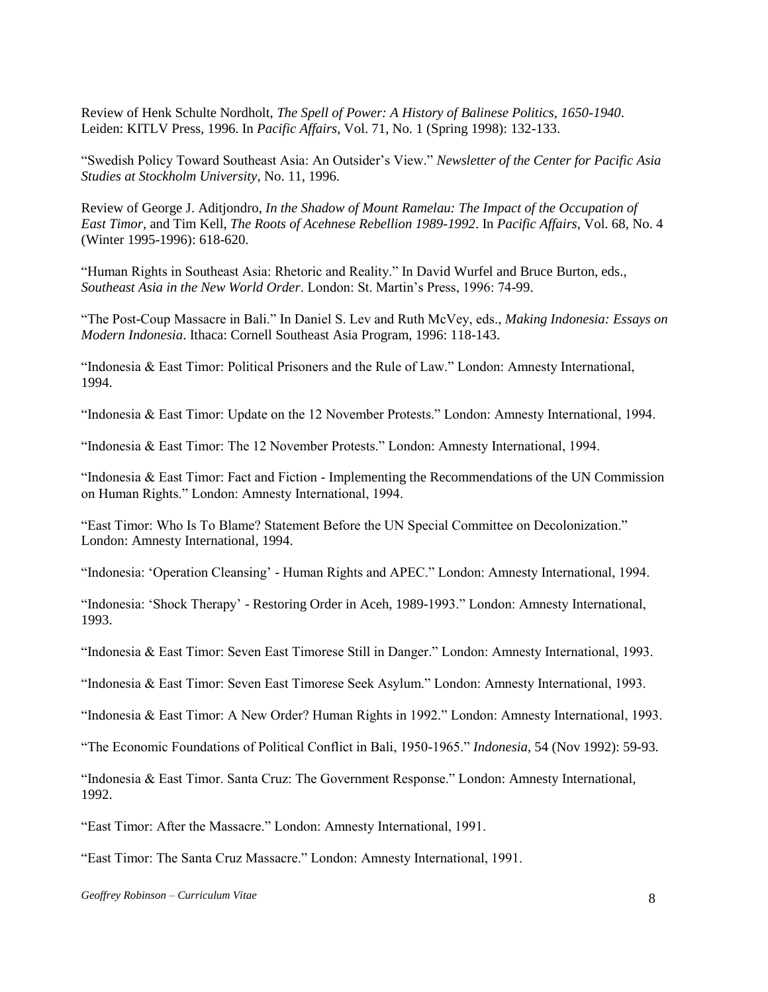Review of Henk Schulte Nordholt, *The Spell of Power: A History of Balinese Politics, 1650-1940*. Leiden: KITLV Press, 1996. In *Pacific Affairs*, Vol. 71, No. 1 (Spring 1998): 132-133.

"Swedish Policy Toward Southeast Asia: An Outsider's View." *Newsletter of the Center for Pacific Asia Studies at Stockholm University*, No. 11, 1996.

Review of George J. Aditjondro, *In the Shadow of Mount Ramelau: The Impact of the Occupation of East Timor*, and Tim Kell, *The Roots of Acehnese Rebellion 1989-1992*. In *Pacific Affairs*, Vol. 68, No. 4 (Winter 1995-1996): 618-620.

"Human Rights in Southeast Asia: Rhetoric and Reality." In David Wurfel and Bruce Burton, eds., *Southeast Asia in the New World Order*. London: St. Martin's Press, 1996: 74-99.

"The Post-Coup Massacre in Bali." In Daniel S. Lev and Ruth McVey, eds., *Making Indonesia: Essays on Modern Indonesia*. Ithaca: Cornell Southeast Asia Program, 1996: 118-143.

"Indonesia & East Timor: Political Prisoners and the Rule of Law." London: Amnesty International, 1994.

"Indonesia & East Timor: Update on the 12 November Protests." London: Amnesty International, 1994.

"Indonesia & East Timor: The 12 November Protests." London: Amnesty International, 1994.

"Indonesia & East Timor: Fact and Fiction - Implementing the Recommendations of the UN Commission on Human Rights." London: Amnesty International, 1994.

"East Timor: Who Is To Blame? Statement Before the UN Special Committee on Decolonization." London: Amnesty International, 1994.

"Indonesia: 'Operation Cleansing' - Human Rights and APEC." London: Amnesty International, 1994.

"Indonesia: 'Shock Therapy' - Restoring Order in Aceh, 1989-1993." London: Amnesty International, 1993.

"Indonesia & East Timor: Seven East Timorese Still in Danger." London: Amnesty International, 1993.

"Indonesia & East Timor: Seven East Timorese Seek Asylum." London: Amnesty International, 1993.

"Indonesia & East Timor: A New Order? Human Rights in 1992." London: Amnesty International, 1993.

"The Economic Foundations of Political Conflict in Bali, 1950-1965." *Indonesia*, 54 (Nov 1992): 59-93.

"Indonesia & East Timor. Santa Cruz: The Government Response." London: Amnesty International, 1992.

"East Timor: After the Massacre." London: Amnesty International, 1991.

"East Timor: The Santa Cruz Massacre." London: Amnesty International, 1991.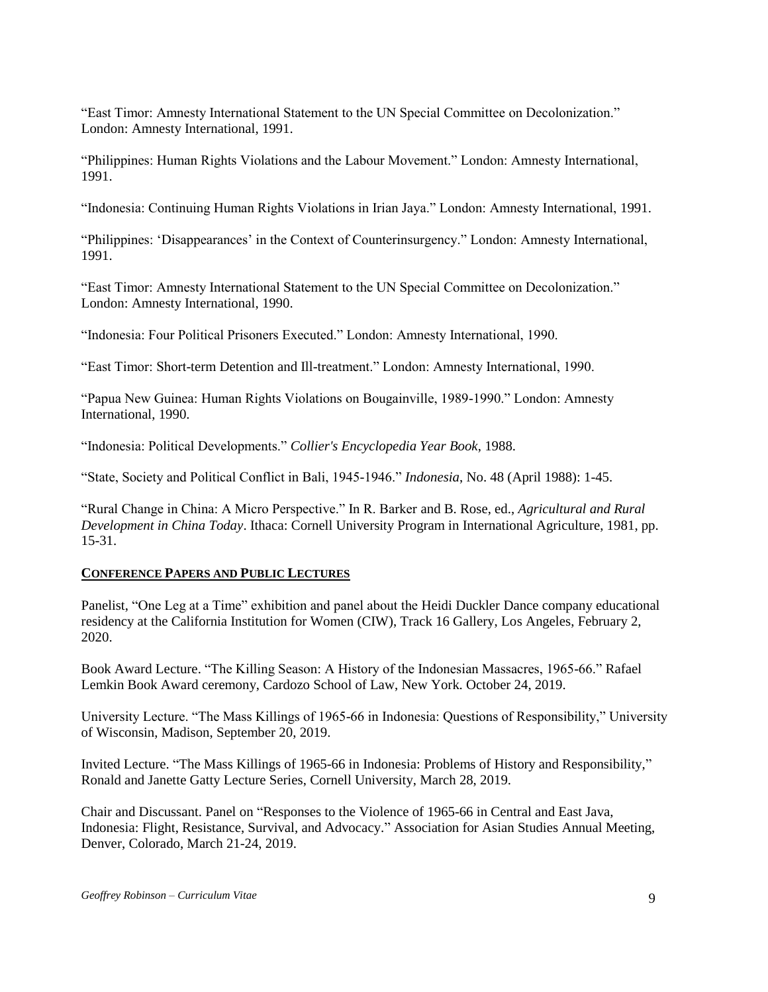"East Timor: Amnesty International Statement to the UN Special Committee on Decolonization." London: Amnesty International, 1991.

"Philippines: Human Rights Violations and the Labour Movement." London: Amnesty International, 1991.

"Indonesia: Continuing Human Rights Violations in Irian Jaya." London: Amnesty International, 1991.

"Philippines: 'Disappearances' in the Context of Counterinsurgency." London: Amnesty International, 1991.

"East Timor: Amnesty International Statement to the UN Special Committee on Decolonization." London: Amnesty International, 1990.

"Indonesia: Four Political Prisoners Executed." London: Amnesty International, 1990.

"East Timor: Short-term Detention and Ill-treatment." London: Amnesty International, 1990.

"Papua New Guinea: Human Rights Violations on Bougainville, 1989-1990." London: Amnesty International, 1990.

"Indonesia: Political Developments." *Collier's Encyclopedia Year Book*, 1988.

"State, Society and Political Conflict in Bali, 1945-1946." *Indonesia*, No. 48 (April 1988): 1-45.

"Rural Change in China: A Micro Perspective." In R. Barker and B. Rose, ed., *Agricultural and Rural Development in China Today*. Ithaca: Cornell University Program in International Agriculture, 1981, pp. 15-31.

### **CONFERENCE PAPERS AND PUBLIC LECTURES**

Panelist, "One Leg at a Time" exhibition and panel about the Heidi Duckler Dance company educational residency at the California Institution for Women (CIW), Track 16 Gallery, Los Angeles, February 2, 2020.

Book Award Lecture. "The Killing Season: A History of the Indonesian Massacres, 1965-66." Rafael Lemkin Book Award ceremony, Cardozo School of Law, New York. October 24, 2019.

University Lecture. "The Mass Killings of 1965-66 in Indonesia: Questions of Responsibility," University of Wisconsin, Madison, September 20, 2019.

Invited Lecture. "The Mass Killings of 1965-66 in Indonesia: Problems of History and Responsibility," Ronald and Janette Gatty Lecture Series, Cornell University, March 28, 2019.

Chair and Discussant. Panel on "Responses to the Violence of 1965-66 in Central and East Java, Indonesia: Flight, Resistance, Survival, and Advocacy." Association for Asian Studies Annual Meeting, Denver, Colorado, March 21-24, 2019.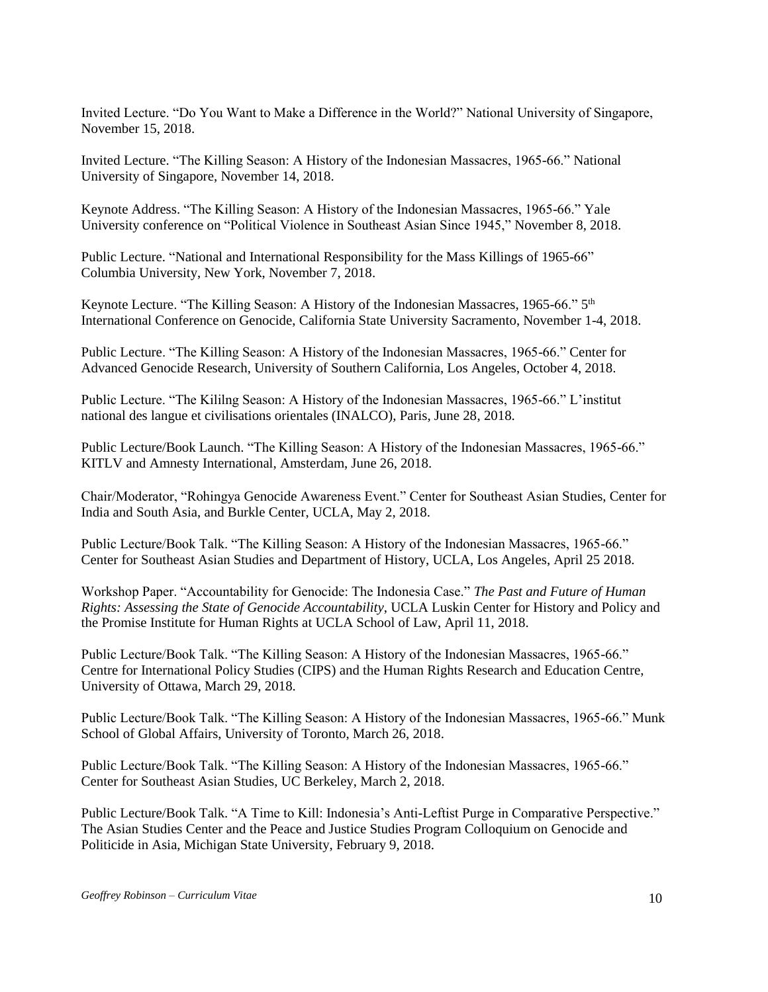Invited Lecture. "Do You Want to Make a Difference in the World?" National University of Singapore, November 15, 2018.

Invited Lecture. "The Killing Season: A History of the Indonesian Massacres, 1965-66." National University of Singapore, November 14, 2018.

Keynote Address. "The Killing Season: A History of the Indonesian Massacres, 1965-66." Yale University conference on "Political Violence in Southeast Asian Since 1945," November 8, 2018.

Public Lecture. "National and International Responsibility for the Mass Killings of 1965-66" Columbia University, New York, November 7, 2018.

Keynote Lecture. "The Killing Season: A History of the Indonesian Massacres, 1965-66." 5<sup>th</sup> International Conference on Genocide, California State University Sacramento, November 1-4, 2018.

Public Lecture. "The Killing Season: A History of the Indonesian Massacres, 1965-66." Center for Advanced Genocide Research, University of Southern California, Los Angeles, October 4, 2018.

Public Lecture. "The Kililng Season: A History of the Indonesian Massacres, 1965-66." L'institut national des langue et civilisations orientales (INALCO), Paris, June 28, 2018.

Public Lecture/Book Launch. "The Killing Season: A History of the Indonesian Massacres, 1965-66." KITLV and Amnesty International, Amsterdam, June 26, 2018.

Chair/Moderator, "Rohingya Genocide Awareness Event." Center for Southeast Asian Studies, Center for India and South Asia, and Burkle Center, UCLA, May 2, 2018.

Public Lecture/Book Talk. "The Killing Season: A History of the Indonesian Massacres, 1965-66." Center for Southeast Asian Studies and Department of History, UCLA, Los Angeles, April 25 2018.

Workshop Paper. "Accountability for Genocide: The Indonesia Case." *The Past and Future of Human Rights: Assessing the State of Genocide Accountability*, UCLA Luskin Center for History and Policy and the Promise Institute for Human Rights at UCLA School of Law, April 11, 2018.

Public Lecture/Book Talk. "The Killing Season: A History of the Indonesian Massacres, 1965-66." Centre for International Policy Studies (CIPS) and the Human Rights Research and Education Centre, University of Ottawa, March 29, 2018.

Public Lecture/Book Talk. "The Killing Season: A History of the Indonesian Massacres, 1965-66." Munk School of Global Affairs, University of Toronto, March 26, 2018.

Public Lecture/Book Talk. "The Killing Season: A History of the Indonesian Massacres, 1965-66." Center for Southeast Asian Studies, UC Berkeley, March 2, 2018.

Public Lecture/Book Talk. "A Time to Kill: Indonesia's Anti-Leftist Purge in Comparative Perspective." The Asian Studies Center and the Peace and Justice Studies Program Colloquium on Genocide and Politicide in Asia, Michigan State University, February 9, 2018.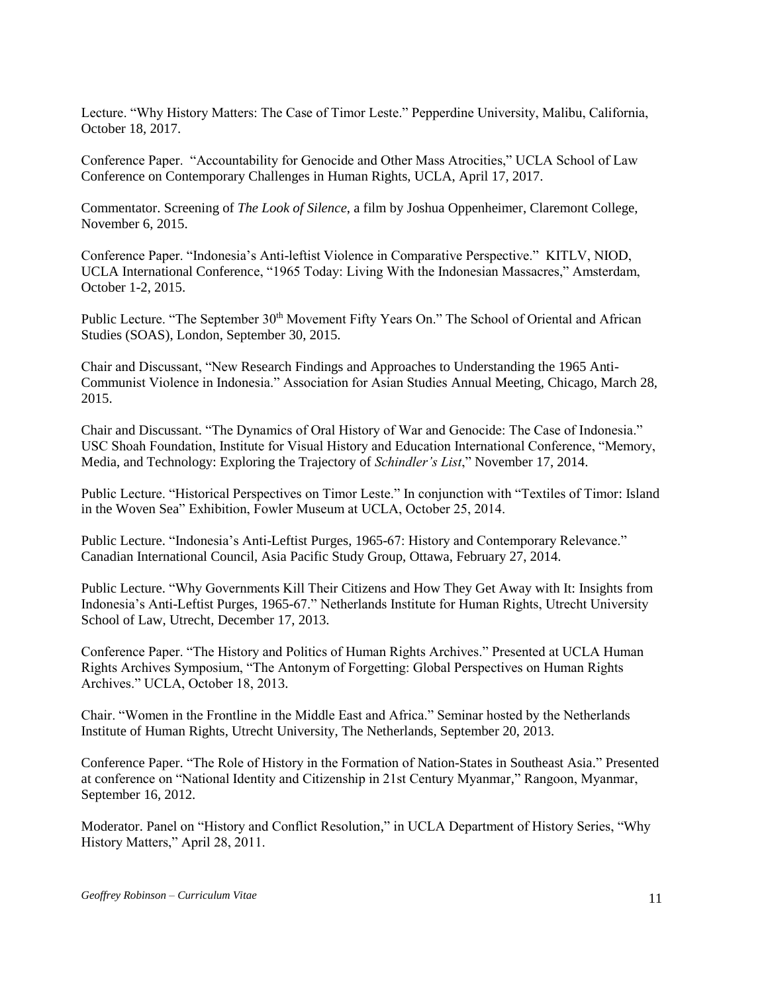Lecture. "Why History Matters: The Case of Timor Leste." Pepperdine University, Malibu, California, October 18, 2017.

Conference Paper. "Accountability for Genocide and Other Mass Atrocities," UCLA School of Law Conference on Contemporary Challenges in Human Rights, UCLA, April 17, 2017.

Commentator. Screening of *The Look of Silence*, a film by Joshua Oppenheimer, Claremont College, November 6, 2015.

Conference Paper. "Indonesia's Anti-leftist Violence in Comparative Perspective." KITLV, NIOD, UCLA International Conference, "1965 Today: Living With the Indonesian Massacres," Amsterdam, October 1-2, 2015.

Public Lecture. "The September 30<sup>th</sup> Movement Fifty Years On." The School of Oriental and African Studies (SOAS), London, September 30, 2015.

Chair and Discussant, "New Research Findings and Approaches to Understanding the 1965 Anti-Communist Violence in Indonesia." Association for Asian Studies Annual Meeting, Chicago, March 28, 2015.

Chair and Discussant. "The Dynamics of Oral History of War and Genocide: The Case of Indonesia." USC Shoah Foundation, Institute for Visual History and Education International Conference, "Memory, Media, and Technology: Exploring the Trajectory of *Schindler's List*," November 17, 2014.

Public Lecture. "Historical Perspectives on Timor Leste." In conjunction with "Textiles of Timor: Island in the Woven Sea" Exhibition, Fowler Museum at UCLA, October 25, 2014.

Public Lecture. "Indonesia's Anti-Leftist Purges, 1965-67: History and Contemporary Relevance." Canadian International Council, Asia Pacific Study Group, Ottawa, February 27, 2014.

Public Lecture. "Why Governments Kill Their Citizens and How They Get Away with It: Insights from Indonesia's Anti-Leftist Purges, 1965-67." Netherlands Institute for Human Rights, Utrecht University School of Law, Utrecht, December 17, 2013.

Conference Paper. "The History and Politics of Human Rights Archives." Presented at UCLA Human Rights Archives Symposium, "The Antonym of Forgetting: Global Perspectives on Human Rights Archives." UCLA, October 18, 2013.

Chair. "Women in the Frontline in the Middle East and Africa." Seminar hosted by the Netherlands Institute of Human Rights, Utrecht University, The Netherlands, September 20, 2013.

Conference Paper. "The Role of History in the Formation of Nation-States in Southeast Asia." Presented at conference on "National Identity and Citizenship in 21st Century Myanmar," Rangoon, Myanmar, September 16, 2012.

Moderator. Panel on "History and Conflict Resolution," in UCLA Department of History Series, "Why History Matters," April 28, 2011.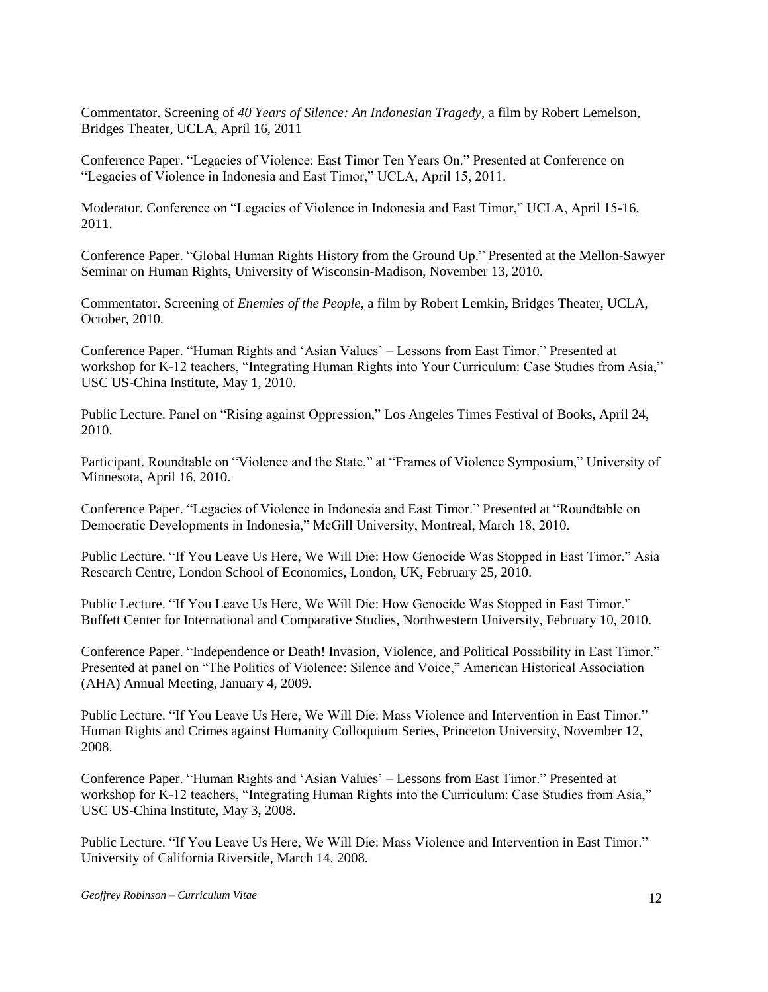Commentator. Screening of *40 Years of Silence: An Indonesian Tragedy*, a film by Robert Lemelson, Bridges Theater, UCLA, April 16, 2011

Conference Paper. "Legacies of Violence: East Timor Ten Years On." Presented at Conference on "Legacies of Violence in Indonesia and East Timor," UCLA, April 15, 2011.

Moderator. Conference on "Legacies of Violence in Indonesia and East Timor," UCLA, April 15-16, 2011.

Conference Paper. "Global Human Rights History from the Ground Up." Presented at the Mellon-Sawyer Seminar on Human Rights, University of Wisconsin-Madison, November 13, 2010.

Commentator. Screening of *Enemies of the People*, a film by Robert Lemkin**,** Bridges Theater, UCLA, October, 2010.

Conference Paper. "Human Rights and 'Asian Values' – Lessons from East Timor." Presented at workshop for K-12 teachers, "Integrating Human Rights into Your Curriculum: Case Studies from Asia," USC US-China Institute, May 1, 2010.

Public Lecture. Panel on "Rising against Oppression," Los Angeles Times Festival of Books, April 24, 2010.

Participant. Roundtable on "Violence and the State," at "Frames of Violence Symposium," University of Minnesota, April 16, 2010.

Conference Paper. "Legacies of Violence in Indonesia and East Timor." Presented at "Roundtable on Democratic Developments in Indonesia," McGill University, Montreal, March 18, 2010.

Public Lecture. "If You Leave Us Here, We Will Die: How Genocide Was Stopped in East Timor." Asia Research Centre, London School of Economics, London, UK, February 25, 2010.

Public Lecture. "If You Leave Us Here, We Will Die: How Genocide Was Stopped in East Timor." Buffett Center for International and Comparative Studies, Northwestern University, February 10, 2010.

Conference Paper. "Independence or Death! Invasion, Violence, and Political Possibility in East Timor." Presented at panel on "The Politics of Violence: Silence and Voice," American Historical Association (AHA) Annual Meeting, January 4, 2009.

Public Lecture. "If You Leave Us Here, We Will Die: Mass Violence and Intervention in East Timor." Human Rights and Crimes against Humanity Colloquium Series, Princeton University, November 12, 2008.

Conference Paper. "Human Rights and 'Asian Values' – Lessons from East Timor." Presented at workshop for K-12 teachers, "Integrating Human Rights into the Curriculum: Case Studies from Asia," USC US-China Institute, May 3, 2008.

Public Lecture. "If You Leave Us Here, We Will Die: Mass Violence and Intervention in East Timor." University of California Riverside, March 14, 2008.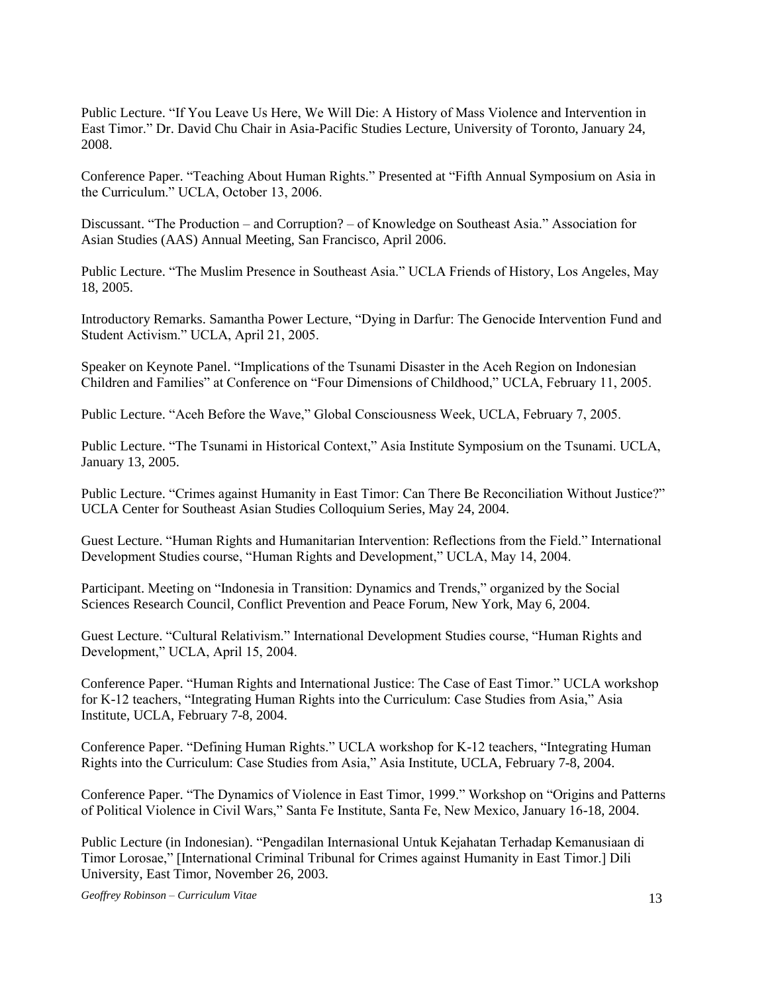Public Lecture. "If You Leave Us Here, We Will Die: A History of Mass Violence and Intervention in East Timor." Dr. David Chu Chair in Asia-Pacific Studies Lecture, University of Toronto, January 24, 2008.

Conference Paper. "Teaching About Human Rights." Presented at "Fifth Annual Symposium on Asia in the Curriculum." UCLA, October 13, 2006.

Discussant. "The Production – and Corruption? – of Knowledge on Southeast Asia." Association for Asian Studies (AAS) Annual Meeting, San Francisco, April 2006.

Public Lecture. "The Muslim Presence in Southeast Asia." UCLA Friends of History, Los Angeles, May 18, 2005.

Introductory Remarks. Samantha Power Lecture, "Dying in Darfur: The Genocide Intervention Fund and Student Activism." UCLA, April 21, 2005.

Speaker on Keynote Panel. "Implications of the Tsunami Disaster in the Aceh Region on Indonesian Children and Families" at Conference on "Four Dimensions of Childhood," UCLA, February 11, 2005.

Public Lecture. "Aceh Before the Wave," Global Consciousness Week, UCLA, February 7, 2005.

Public Lecture. "The Tsunami in Historical Context," Asia Institute Symposium on the Tsunami. UCLA, January 13, 2005.

Public Lecture. "Crimes against Humanity in East Timor: Can There Be Reconciliation Without Justice?" UCLA Center for Southeast Asian Studies Colloquium Series, May 24, 2004.

Guest Lecture. "Human Rights and Humanitarian Intervention: Reflections from the Field." International Development Studies course, "Human Rights and Development," UCLA, May 14, 2004.

Participant. Meeting on "Indonesia in Transition: Dynamics and Trends," organized by the Social Sciences Research Council, Conflict Prevention and Peace Forum, New York, May 6, 2004.

Guest Lecture. "Cultural Relativism." International Development Studies course, "Human Rights and Development," UCLA, April 15, 2004.

Conference Paper. "Human Rights and International Justice: The Case of East Timor." UCLA workshop for K-12 teachers, "Integrating Human Rights into the Curriculum: Case Studies from Asia," Asia Institute, UCLA, February 7-8, 2004.

Conference Paper. "Defining Human Rights." UCLA workshop for K-12 teachers, "Integrating Human Rights into the Curriculum: Case Studies from Asia," Asia Institute, UCLA, February 7-8, 2004.

Conference Paper. "The Dynamics of Violence in East Timor, 1999." Workshop on "Origins and Patterns of Political Violence in Civil Wars," Santa Fe Institute, Santa Fe, New Mexico, January 16-18, 2004.

Public Lecture (in Indonesian). "Pengadilan Internasional Untuk Kejahatan Terhadap Kemanusiaan di Timor Lorosae," [International Criminal Tribunal for Crimes against Humanity in East Timor.] Dili University, East Timor, November 26, 2003.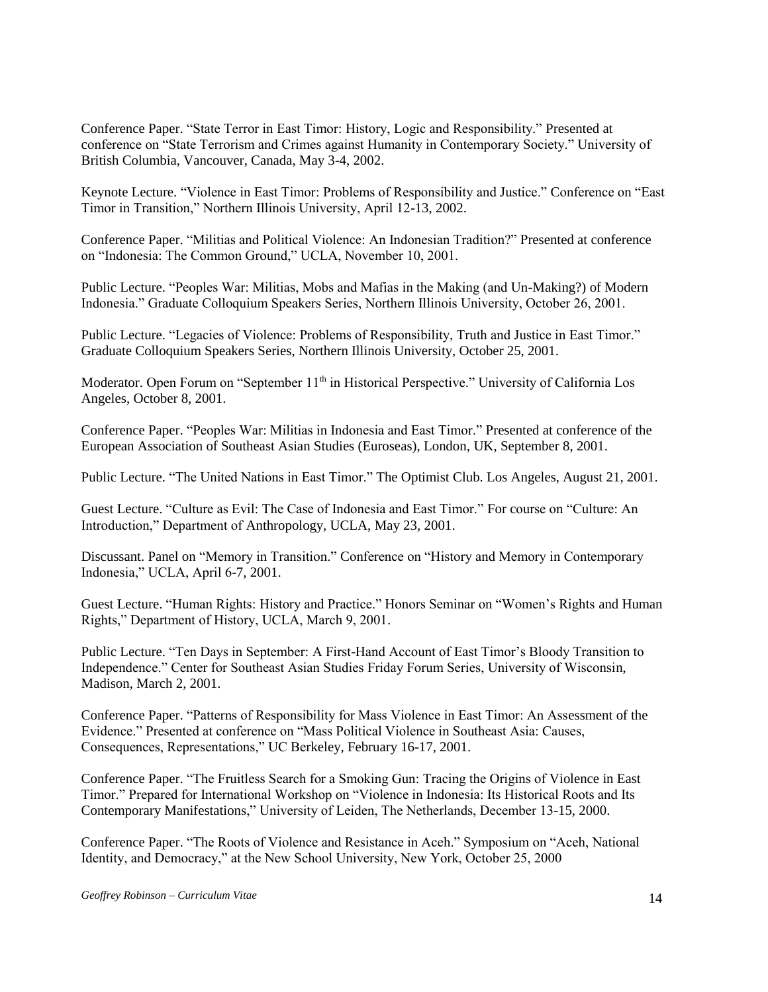Conference Paper. "State Terror in East Timor: History, Logic and Responsibility." Presented at conference on "State Terrorism and Crimes against Humanity in Contemporary Society." University of British Columbia, Vancouver, Canada, May 3-4, 2002.

Keynote Lecture. "Violence in East Timor: Problems of Responsibility and Justice." Conference on "East Timor in Transition," Northern Illinois University, April 12-13, 2002.

Conference Paper. "Militias and Political Violence: An Indonesian Tradition?" Presented at conference on "Indonesia: The Common Ground," UCLA, November 10, 2001.

Public Lecture. "Peoples War: Militias, Mobs and Mafias in the Making (and Un-Making?) of Modern Indonesia." Graduate Colloquium Speakers Series, Northern Illinois University, October 26, 2001.

Public Lecture. "Legacies of Violence: Problems of Responsibility, Truth and Justice in East Timor." Graduate Colloquium Speakers Series, Northern Illinois University, October 25, 2001.

Moderator. Open Forum on "September 11<sup>th</sup> in Historical Perspective." University of California Los Angeles, October 8, 2001.

Conference Paper. "Peoples War: Militias in Indonesia and East Timor." Presented at conference of the European Association of Southeast Asian Studies (Euroseas), London, UK, September 8, 2001.

Public Lecture. "The United Nations in East Timor." The Optimist Club. Los Angeles, August 21, 2001.

Guest Lecture. "Culture as Evil: The Case of Indonesia and East Timor." For course on "Culture: An Introduction," Department of Anthropology, UCLA, May 23, 2001.

Discussant. Panel on "Memory in Transition." Conference on "History and Memory in Contemporary Indonesia," UCLA, April 6-7, 2001.

Guest Lecture. "Human Rights: History and Practice." Honors Seminar on "Women's Rights and Human Rights," Department of History, UCLA, March 9, 2001.

Public Lecture. "Ten Days in September: A First-Hand Account of East Timor's Bloody Transition to Independence." Center for Southeast Asian Studies Friday Forum Series, University of Wisconsin, Madison, March 2, 2001.

Conference Paper. "Patterns of Responsibility for Mass Violence in East Timor: An Assessment of the Evidence." Presented at conference on "Mass Political Violence in Southeast Asia: Causes, Consequences, Representations," UC Berkeley, February 16-17, 2001.

Conference Paper. "The Fruitless Search for a Smoking Gun: Tracing the Origins of Violence in East Timor." Prepared for International Workshop on "Violence in Indonesia: Its Historical Roots and Its Contemporary Manifestations," University of Leiden, The Netherlands, December 13-15, 2000.

Conference Paper. "The Roots of Violence and Resistance in Aceh." Symposium on "Aceh, National Identity, and Democracy," at the New School University, New York, October 25, 2000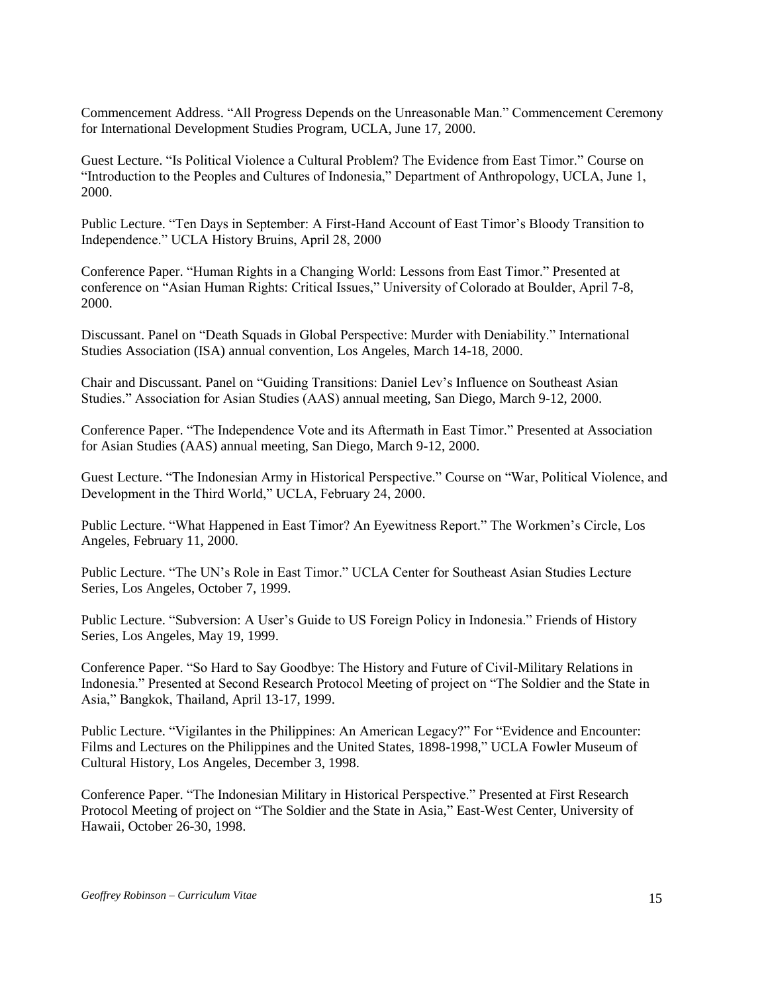Commencement Address. "All Progress Depends on the Unreasonable Man." Commencement Ceremony for International Development Studies Program, UCLA, June 17, 2000.

Guest Lecture. "Is Political Violence a Cultural Problem? The Evidence from East Timor." Course on "Introduction to the Peoples and Cultures of Indonesia," Department of Anthropology, UCLA, June 1, 2000.

Public Lecture. "Ten Days in September: A First-Hand Account of East Timor's Bloody Transition to Independence." UCLA History Bruins, April 28, 2000

Conference Paper. "Human Rights in a Changing World: Lessons from East Timor." Presented at conference on "Asian Human Rights: Critical Issues," University of Colorado at Boulder, April 7-8, 2000.

Discussant. Panel on "Death Squads in Global Perspective: Murder with Deniability." International Studies Association (ISA) annual convention, Los Angeles, March 14-18, 2000.

Chair and Discussant. Panel on "Guiding Transitions: Daniel Lev's Influence on Southeast Asian Studies." Association for Asian Studies (AAS) annual meeting, San Diego, March 9-12, 2000.

Conference Paper. "The Independence Vote and its Aftermath in East Timor." Presented at Association for Asian Studies (AAS) annual meeting, San Diego, March 9-12, 2000.

Guest Lecture. "The Indonesian Army in Historical Perspective." Course on "War, Political Violence, and Development in the Third World," UCLA, February 24, 2000.

Public Lecture. "What Happened in East Timor? An Eyewitness Report." The Workmen's Circle, Los Angeles, February 11, 2000.

Public Lecture. "The UN's Role in East Timor." UCLA Center for Southeast Asian Studies Lecture Series, Los Angeles, October 7, 1999.

Public Lecture. "Subversion: A User's Guide to US Foreign Policy in Indonesia." Friends of History Series, Los Angeles, May 19, 1999.

Conference Paper. "So Hard to Say Goodbye: The History and Future of Civil-Military Relations in Indonesia." Presented at Second Research Protocol Meeting of project on "The Soldier and the State in Asia," Bangkok, Thailand, April 13-17, 1999.

Public Lecture. "Vigilantes in the Philippines: An American Legacy?" For "Evidence and Encounter: Films and Lectures on the Philippines and the United States, 1898-1998," UCLA Fowler Museum of Cultural History, Los Angeles, December 3, 1998.

Conference Paper. "The Indonesian Military in Historical Perspective." Presented at First Research Protocol Meeting of project on "The Soldier and the State in Asia," East-West Center, University of Hawaii, October 26-30, 1998.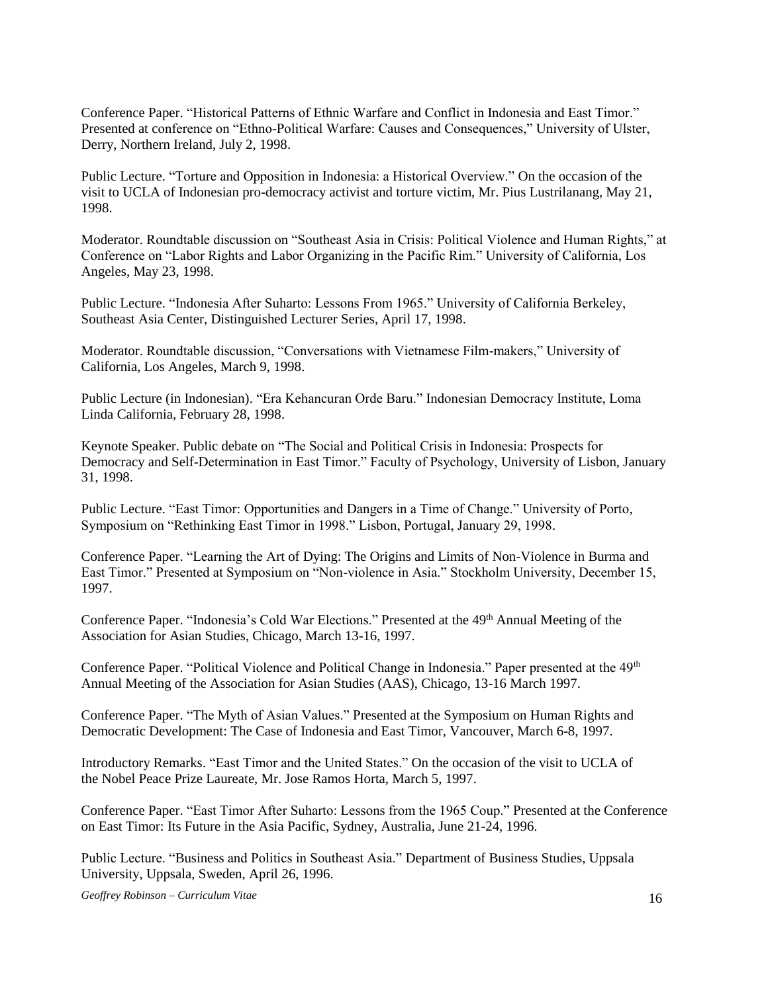Conference Paper. "Historical Patterns of Ethnic Warfare and Conflict in Indonesia and East Timor." Presented at conference on "Ethno-Political Warfare: Causes and Consequences," University of Ulster, Derry, Northern Ireland, July 2, 1998.

Public Lecture. "Torture and Opposition in Indonesia: a Historical Overview." On the occasion of the visit to UCLA of Indonesian pro-democracy activist and torture victim, Mr. Pius Lustrilanang, May 21, 1998.

Moderator. Roundtable discussion on "Southeast Asia in Crisis: Political Violence and Human Rights," at Conference on "Labor Rights and Labor Organizing in the Pacific Rim." University of California, Los Angeles, May 23, 1998.

Public Lecture. "Indonesia After Suharto: Lessons From 1965." University of California Berkeley, Southeast Asia Center, Distinguished Lecturer Series, April 17, 1998.

Moderator. Roundtable discussion, "Conversations with Vietnamese Film-makers," University of California, Los Angeles, March 9, 1998.

Public Lecture (in Indonesian). "Era Kehancuran Orde Baru." Indonesian Democracy Institute, Loma Linda California, February 28, 1998.

Keynote Speaker. Public debate on "The Social and Political Crisis in Indonesia: Prospects for Democracy and Self-Determination in East Timor." Faculty of Psychology, University of Lisbon, January 31, 1998.

Public Lecture. "East Timor: Opportunities and Dangers in a Time of Change." University of Porto, Symposium on "Rethinking East Timor in 1998." Lisbon, Portugal, January 29, 1998.

Conference Paper. "Learning the Art of Dying: The Origins and Limits of Non-Violence in Burma and East Timor." Presented at Symposium on "Non-violence in Asia." Stockholm University, December 15, 1997.

Conference Paper. "Indonesia's Cold War Elections." Presented at the 49<sup>th</sup> Annual Meeting of the Association for Asian Studies, Chicago, March 13-16, 1997.

Conference Paper. "Political Violence and Political Change in Indonesia." Paper presented at the 49<sup>th</sup> Annual Meeting of the Association for Asian Studies (AAS), Chicago, 13-16 March 1997.

Conference Paper. "The Myth of Asian Values." Presented at the Symposium on Human Rights and Democratic Development: The Case of Indonesia and East Timor, Vancouver, March 6-8, 1997.

Introductory Remarks. "East Timor and the United States." On the occasion of the visit to UCLA of the Nobel Peace Prize Laureate, Mr. Jose Ramos Horta, March 5, 1997.

Conference Paper. "East Timor After Suharto: Lessons from the 1965 Coup." Presented at the Conference on East Timor: Its Future in the Asia Pacific, Sydney, Australia, June 21-24, 1996.

Public Lecture. "Business and Politics in Southeast Asia." Department of Business Studies, Uppsala University, Uppsala, Sweden, April 26, 1996.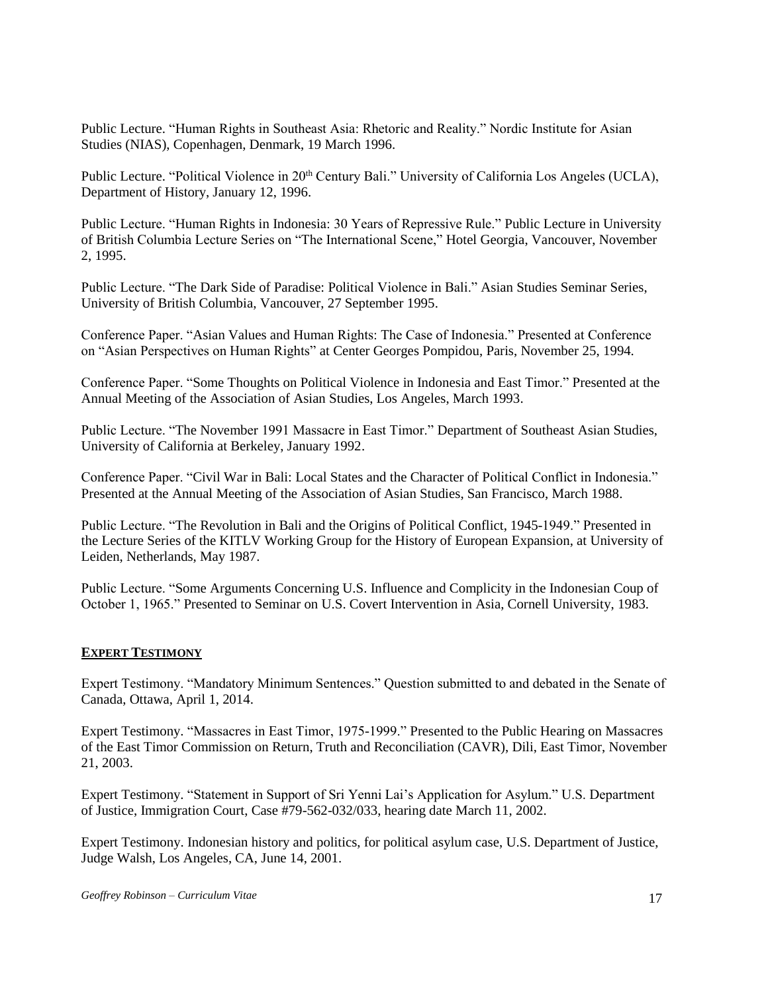Public Lecture. "Human Rights in Southeast Asia: Rhetoric and Reality." Nordic Institute for Asian Studies (NIAS), Copenhagen, Denmark, 19 March 1996.

Public Lecture. "Political Violence in 20<sup>th</sup> Century Bali." University of California Los Angeles (UCLA), Department of History, January 12, 1996.

Public Lecture. "Human Rights in Indonesia: 30 Years of Repressive Rule." Public Lecture in University of British Columbia Lecture Series on "The International Scene," Hotel Georgia, Vancouver, November 2, 1995.

Public Lecture. "The Dark Side of Paradise: Political Violence in Bali." Asian Studies Seminar Series, University of British Columbia, Vancouver, 27 September 1995.

Conference Paper. "Asian Values and Human Rights: The Case of Indonesia." Presented at Conference on "Asian Perspectives on Human Rights" at Center Georges Pompidou, Paris, November 25, 1994.

Conference Paper. "Some Thoughts on Political Violence in Indonesia and East Timor." Presented at the Annual Meeting of the Association of Asian Studies, Los Angeles, March 1993.

Public Lecture. "The November 1991 Massacre in East Timor." Department of Southeast Asian Studies, University of California at Berkeley, January 1992.

Conference Paper. "Civil War in Bali: Local States and the Character of Political Conflict in Indonesia." Presented at the Annual Meeting of the Association of Asian Studies, San Francisco, March 1988.

Public Lecture. "The Revolution in Bali and the Origins of Political Conflict, 1945-1949." Presented in the Lecture Series of the KITLV Working Group for the History of European Expansion, at University of Leiden, Netherlands, May 1987.

Public Lecture. "Some Arguments Concerning U.S. Influence and Complicity in the Indonesian Coup of October 1, 1965." Presented to Seminar on U.S. Covert Intervention in Asia, Cornell University, 1983.

### **EXPERT TESTIMONY**

Expert Testimony. "Mandatory Minimum Sentences." Question submitted to and debated in the Senate of Canada, Ottawa, April 1, 2014.

Expert Testimony. "Massacres in East Timor, 1975-1999." Presented to the Public Hearing on Massacres of the East Timor Commission on Return, Truth and Reconciliation (CAVR), Dili, East Timor, November 21, 2003.

Expert Testimony. "Statement in Support of Sri Yenni Lai's Application for Asylum." U.S. Department of Justice, Immigration Court, Case #79-562-032/033, hearing date March 11, 2002.

Expert Testimony. Indonesian history and politics, for political asylum case, U.S. Department of Justice, Judge Walsh, Los Angeles, CA, June 14, 2001.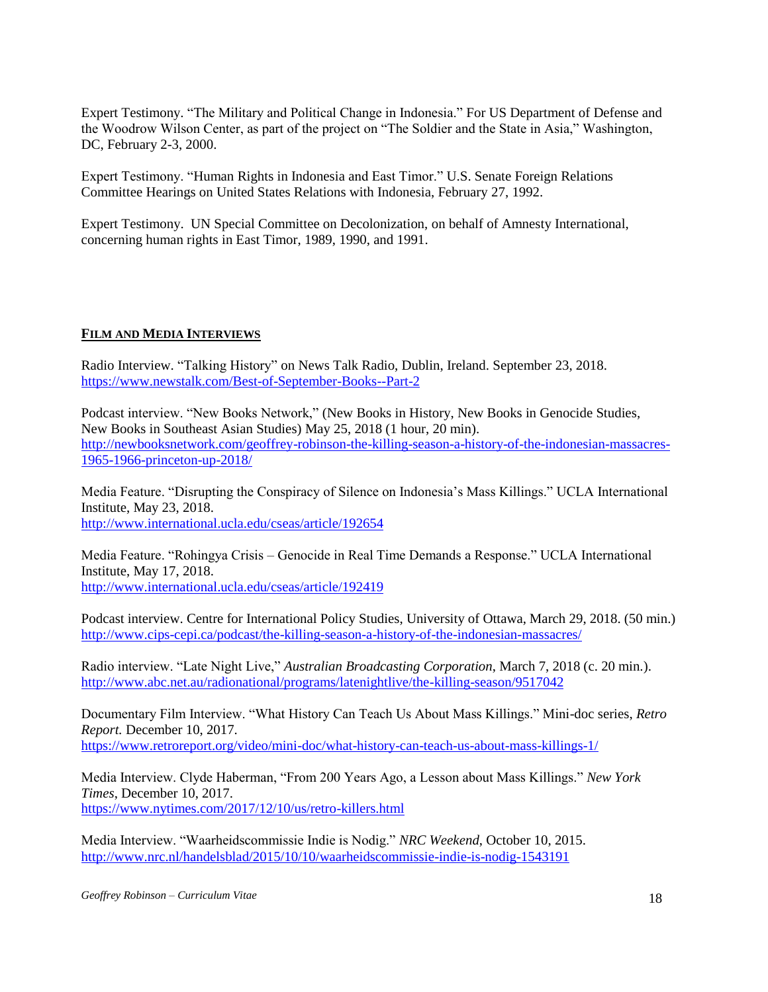Expert Testimony. "The Military and Political Change in Indonesia." For US Department of Defense and the Woodrow Wilson Center, as part of the project on "The Soldier and the State in Asia," Washington, DC, February 2-3, 2000.

Expert Testimony. "Human Rights in Indonesia and East Timor." U.S. Senate Foreign Relations Committee Hearings on United States Relations with Indonesia, February 27, 1992.

Expert Testimony. UN Special Committee on Decolonization, on behalf of Amnesty International, concerning human rights in East Timor, 1989, 1990, and 1991.

## **FILM AND MEDIA INTERVIEWS**

Radio Interview. "Talking History" on News Talk Radio, Dublin, Ireland. September 23, 2018. <https://www.newstalk.com/Best-of-September-Books--Part-2>

Podcast interview. "New Books Network," (New Books in History, New Books in Genocide Studies, New Books in Southeast Asian Studies) May 25, 2018 (1 hour, 20 min). [http://newbooksnetwork.com/geoffrey-robinson-the-killing-season-a-history-of-the-indonesian-massacres-](http://newbooksnetwork.com/geoffrey-robinson-the-killing-season-a-history-of-the-indonesian-massacres-1965-1966-princeton-up-2018/)[1965-1966-princeton-up-2018/](http://newbooksnetwork.com/geoffrey-robinson-the-killing-season-a-history-of-the-indonesian-massacres-1965-1966-princeton-up-2018/)

Media Feature. "Disrupting the Conspiracy of Silence on Indonesia's Mass Killings." UCLA International Institute, May 23, 2018. <http://www.international.ucla.edu/cseas/article/192654>

Media Feature. "Rohingya Crisis – Genocide in Real Time Demands a Response." UCLA International Institute, May 17, 2018. <http://www.international.ucla.edu/cseas/article/192419>

Podcast interview. Centre for International Policy Studies, University of Ottawa, March 29, 2018. (50 min.) <http://www.cips-cepi.ca/podcast/the-killing-season-a-history-of-the-indonesian-massacres/>

Radio interview. "Late Night Live," *Australian Broadcasting Corporation*, March 7, 2018 (c. 20 min.). <http://www.abc.net.au/radionational/programs/latenightlive/the-killing-season/9517042>

Documentary Film Interview. "What History Can Teach Us About Mass Killings." Mini-doc series, *Retro Report.* December 10, 2017. <https://www.retroreport.org/video/mini-doc/what-history-can-teach-us-about-mass-killings-1/>

Media Interview. Clyde Haberman, "From 200 Years Ago, a Lesson about Mass Killings." *New York Times*, December 10, 2017. <https://www.nytimes.com/2017/12/10/us/retro-killers.html>

Media Interview. "Waarheidscommissie Indie is Nodig." *NRC Weekend*, October 10, 2015. <http://www.nrc.nl/handelsblad/2015/10/10/waarheidscommissie-indie-is-nodig-1543191>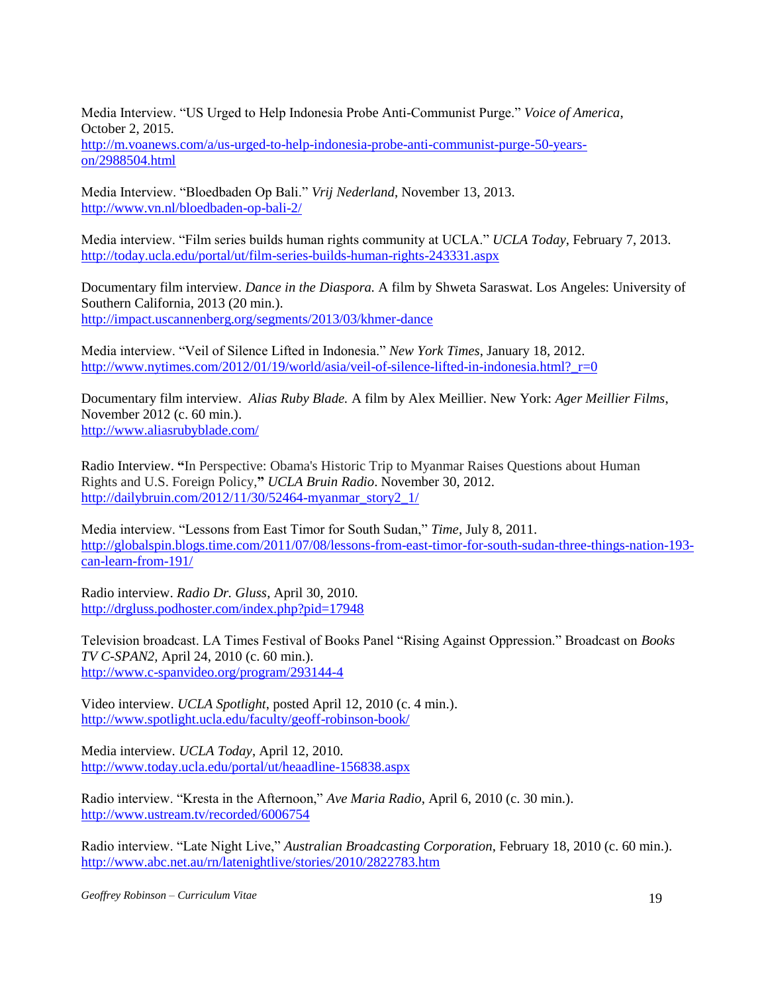Media Interview. "US Urged to Help Indonesia Probe Anti-Communist Purge." *Voice of America*, October 2, 2015.

[http://m.voanews.com/a/us-urged-to-help-indonesia-probe-anti-communist-purge-50-years](http://m.voanews.com/a/us-urged-to-help-indonesia-probe-anti-communist-purge-50-years-on/2988504.html)[on/2988504.html](http://m.voanews.com/a/us-urged-to-help-indonesia-probe-anti-communist-purge-50-years-on/2988504.html)

Media Interview. "Bloedbaden Op Bali." *Vrij Nederland*, November 13, 2013. <http://www.vn.nl/bloedbaden-op-bali-2/>

Media interview. "Film series builds human rights community at UCLA." *UCLA Today*, February 7, 2013. <http://today.ucla.edu/portal/ut/film-series-builds-human-rights-243331.aspx>

Documentary film interview. *Dance in the Diaspora.* A film by Shweta Saraswat. Los Angeles: University of Southern California, 2013 (20 min.). <http://impact.uscannenberg.org/segments/2013/03/khmer-dance>

Media interview. "Veil of Silence Lifted in Indonesia." *New York Times*, January 18, 2012. http://www.nytimes.com/2012/01/19/world/asia/veil-of-silence-lifted-in-indonesia.html? $r=0$ 

Documentary film interview. *Alias Ruby Blade.* A film by Alex Meillier. New York: *Ager Meillier Films*, November 2012 (c. 60 min.). <http://www.aliasrubyblade.com/>

Radio Interview. **"**In Perspective: Obama's Historic Trip to Myanmar Raises Questions about Human Rights and U.S. Foreign Policy,**"** *UCLA Bruin Radio*. November 30, 2012. [http://dailybruin.com/2012/11/30/52464-myanmar\\_story2\\_1/](http://dailybruin.com/2012/11/30/52464-myanmar_story2_1/)

Media interview. "Lessons from East Timor for South Sudan," *Time*, July 8, 2011. [http://globalspin.blogs.time.com/2011/07/08/lessons-from-east-timor-for-south-sudan-three-things-nation-193](http://globalspin.blogs.time.com/2011/07/08/lessons-from-east-timor-for-south-sudan-three-things-nation-193-can-learn-from-191/) [can-learn-from-191/](http://globalspin.blogs.time.com/2011/07/08/lessons-from-east-timor-for-south-sudan-three-things-nation-193-can-learn-from-191/)

Radio interview. *Radio Dr. Gluss*, April 30, 2010. <http://drgluss.podhoster.com/index.php?pid=17948>

Television broadcast. LA Times Festival of Books Panel "Rising Against Oppression." Broadcast on *Books TV C-SPAN2,* April 24, 2010 (c. 60 min.). <http://www.c-spanvideo.org/program/293144-4>

Video interview. *UCLA Spotlight*, posted April 12, 2010 (c. 4 min.). <http://www.spotlight.ucla.edu/faculty/geoff-robinson-book/>

Media interview*. UCLA Today*, April 12, 2010. <http://www.today.ucla.edu/portal/ut/heaadline-156838.aspx>

Radio interview. "Kresta in the Afternoon," *Ave Maria Radio*, April 6, 2010 (c. 30 min.). <http://www.ustream.tv/recorded/6006754>

Radio interview. "Late Night Live," *Australian Broadcasting Corporation*, February 18, 2010 (c. 60 min.). <http://www.abc.net.au/rn/latenightlive/stories/2010/2822783.htm>